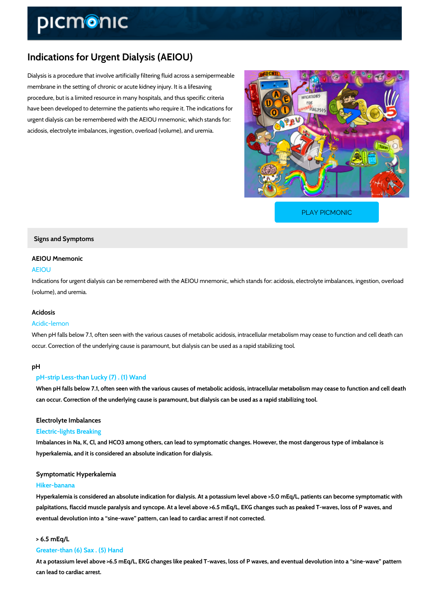# Indications for Urgent Dialysis (AEIOU)

Dialysis is a procedure that involve artificially filtering fluid across a semipermeable membrane in the setting of chronic or acute kidney injury. It is a lifesaving procedure, but is a limited resource in many hospitals, and thus specific criteria have been developed to determine the patients who require it. The indications for urgent dialysis can be remembered with the AEIOU mnemonic, which stands for: acidosis, electrolyte imbalances, ingestion, overload (volume), and uremia.

[PLAY PICMONIC](https://www.picmonic.com/learn/indications-for-urgent-dialysis-aeiou_2681?utm_source=downloadable_content&utm_medium=distributedcontent&utm_campaign=pathways_pdf&utm_content=Indications for Urgent Dialysis (AEIOU)&utm_ad_group=leads&utm_market=all)

Signs and Symptoms

# AEIOU Mnemonic

# AEIOU

Indications for urgent dialysis can be remembered with the AEIOU mnemonic, which stands for (volume), and uremia.

# Acidosis

# Acidic-lemon

When pH falls below 7.1, often seen with the various causes of metabolic acidosis, intracellul occur. Correction of the underlying cause is paramount, but dialysis can be used as a rapid stabilizing to

### p H

## pH-strip Less-than Lucky (7) . (1) Wand

When pH falls below 7.1, often seen with the various causes of metabolic acidosis, intracellu can occur. Correction of the underlying cause is paramount, but dialysis can be used as a ra

### Electrolyte Imbalances

# Electric-lights Breaking

Imbalances in Na, K, Cl, and HCO3 among others, can lead to symptomatic changes. However hyperkalemia, and it is considered an absolute indication for dialysis.

# Symptomatic Hyperkalemia

# Hiker-banana

Hyperkalemia is considered an absolute indication for dialysis. At a potassium level above > palpitations, flaccid muscle paralysis and syncope. At a level above >6.5 mEq/L, EKG change eventual devolution into a sine-wave pattern, can lead to cardiac arrest if not corrected.

# $> 6.5$  mEq/L

# Greater-than (6) Sax . (5) Hand

At a potassium level above >6.5 mEq/L, EKG changes like peaked T-waves, loss of P waves, can lead to cardiac arrest.